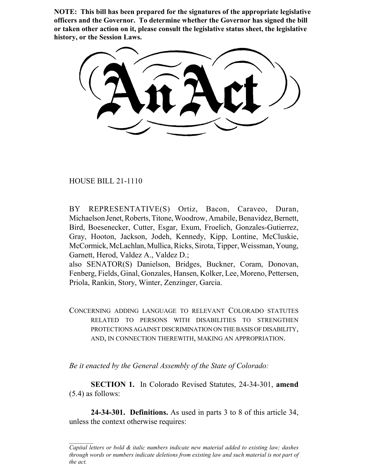**NOTE: This bill has been prepared for the signatures of the appropriate legislative officers and the Governor. To determine whether the Governor has signed the bill or taken other action on it, please consult the legislative status sheet, the legislative history, or the Session Laws.**

HOUSE BILL 21-1110

BY REPRESENTATIVE(S) Ortiz, Bacon, Caraveo, Duran, Michaelson Jenet, Roberts, Titone, Woodrow, Amabile, Benavidez, Bernett, Bird, Boesenecker, Cutter, Esgar, Exum, Froelich, Gonzales-Gutierrez, Gray, Hooton, Jackson, Jodeh, Kennedy, Kipp, Lontine, McCluskie, McCormick, McLachlan, Mullica, Ricks, Sirota, Tipper, Weissman, Young, Garnett, Herod, Valdez A., Valdez D.;

also SENATOR(S) Danielson, Bridges, Buckner, Coram, Donovan, Fenberg, Fields, Ginal, Gonzales, Hansen, Kolker, Lee, Moreno, Pettersen, Priola, Rankin, Story, Winter, Zenzinger, Garcia.

CONCERNING ADDING LANGUAGE TO RELEVANT COLORADO STATUTES RELATED TO PERSONS WITH DISABILITIES TO STRENGTHEN PROTECTIONS AGAINST DISCRIMINATION ON THE BASIS OF DISABILITY, AND, IN CONNECTION THEREWITH, MAKING AN APPROPRIATION.

*Be it enacted by the General Assembly of the State of Colorado:*

**SECTION 1.** In Colorado Revised Statutes, 24-34-301, **amend** (5.4) as follows:

**24-34-301. Definitions.** As used in parts 3 to 8 of this article 34, unless the context otherwise requires:

*Capital letters or bold & italic numbers indicate new material added to existing law; dashes through words or numbers indicate deletions from existing law and such material is not part of the act.*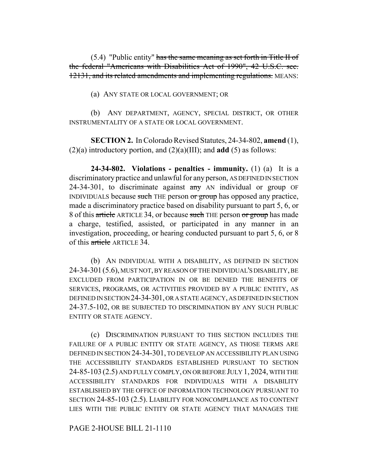(5.4) "Public entity" has the same meaning as set forth in Title II of the federal "Americans with Disabilities Act of 1990", 42 U.S.C. sec. 12131, and its related amendments and implementing regulations. MEANS:

(a) ANY STATE OR LOCAL GOVERNMENT; OR

(b) ANY DEPARTMENT, AGENCY, SPECIAL DISTRICT, OR OTHER INSTRUMENTALITY OF A STATE OR LOCAL GOVERNMENT.

**SECTION 2.** In Colorado Revised Statutes, 24-34-802, **amend** (1), (2)(a) introductory portion, and (2)(a)(III); and **add** (5) as follows:

**24-34-802. Violations - penalties - immunity.** (1) (a) It is a discriminatory practice and unlawful for any person, AS DEFINED IN SECTION 24-34-301, to discriminate against  $\frac{1}{2}$  AN individual or group OF INDIVIDUALS because such THE person or group has opposed any practice, made a discriminatory practice based on disability pursuant to part 5, 6, or 8 of this article ARTICLE 34, or because such THE person or group has made a charge, testified, assisted, or participated in any manner in an investigation, proceeding, or hearing conducted pursuant to part 5, 6, or 8 of this article ARTICLE 34.

(b) AN INDIVIDUAL WITH A DISABILITY, AS DEFINED IN SECTION 24-34-301(5.6), MUST NOT, BY REASON OF THE INDIVIDUAL'S DISABILITY, BE EXCLUDED FROM PARTICIPATION IN OR BE DENIED THE BENEFITS OF SERVICES, PROGRAMS, OR ACTIVITIES PROVIDED BY A PUBLIC ENTITY, AS DEFINED IN SECTION 24-34-301, OR A STATE AGENCY, AS DEFINED IN SECTION 24-37.5-102, OR BE SUBJECTED TO DISCRIMINATION BY ANY SUCH PUBLIC ENTITY OR STATE AGENCY.

(c) DISCRIMINATION PURSUANT TO THIS SECTION INCLUDES THE FAILURE OF A PUBLIC ENTITY OR STATE AGENCY, AS THOSE TERMS ARE DEFINED IN SECTION 24-34-301, TO DEVELOP AN ACCESSIBILITY PLAN USING THE ACCESSIBILITY STANDARDS ESTABLISHED PURSUANT TO SECTION 24-85-103 (2.5) AND FULLY COMPLY, ON OR BEFORE JULY 1, 2024, WITH THE ACCESSIBILITY STANDARDS FOR INDIVIDUALS WITH A DISABILITY ESTABLISHED BY THE OFFICE OF INFORMATION TECHNOLOGY PURSUANT TO SECTION 24-85-103 (2.5). LIABILITY FOR NONCOMPLIANCE AS TO CONTENT LIES WITH THE PUBLIC ENTITY OR STATE AGENCY THAT MANAGES THE

PAGE 2-HOUSE BILL 21-1110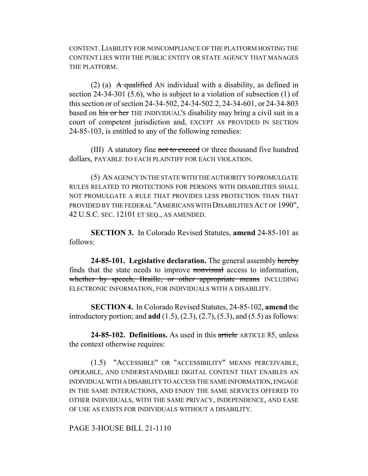CONTENT.LIABILITY FOR NONCOMPLIANCE OF THE PLATFORM HOSTING THE CONTENT LIES WITH THE PUBLIC ENTITY OR STATE AGENCY THAT MANAGES THE PLATFORM.

(2) (a)  $\overrightarrow{A}$  qualified AN individual with a disability, as defined in section 24-34-301 (5.6), who is subject to a violation of subsection (1) of this section or of section 24-34-502, 24-34-502.2, 24-34-601, or 24-34-803 based on his or her THE INDIVIDUAL'S disability may bring a civil suit in a court of competent jurisdiction and, EXCEPT AS PROVIDED IN SECTION 24-85-103, is entitled to any of the following remedies:

(III) A statutory fine not to exceed OF three thousand five hundred dollars, PAYABLE TO EACH PLAINTIFF FOR EACH VIOLATION.

(5) AN AGENCY IN THE STATE WITH THE AUTHORITY TO PROMULGATE RULES RELATED TO PROTECTIONS FOR PERSONS WITH DISABILITIES SHALL NOT PROMULGATE A RULE THAT PROVIDES LESS PROTECTION THAN THAT PROVIDED BY THE FEDERAL "AMERICANS WITH DISABILITIES ACT OF 1990", 42 U.S.C. SEC. 12101 ET SEQ., AS AMENDED.

**SECTION 3.** In Colorado Revised Statutes, **amend** 24-85-101 as follows:

**24-85-101. Legislative declaration.** The general assembly hereby finds that the state needs to improve nonvisual access to information, whether by speech, Braille, or other appropriate means INCLUDING ELECTRONIC INFORMATION, FOR INDIVIDUALS WITH A DISABILITY.

**SECTION 4.** In Colorado Revised Statutes, 24-85-102, **amend** the introductory portion; and **add** (1.5), (2.3), (2.7), (5.3), and (5.5) as follows:

**24-85-102. Definitions.** As used in this article ARTICLE 85, unless the context otherwise requires:

(1.5) "ACCESSIBLE" OR "ACCESSIBILITY" MEANS PERCEIVABLE, OPERABLE, AND UNDERSTANDABLE DIGITAL CONTENT THAT ENABLES AN INDIVIDUAL WITH A DISABILITY TO ACCESS THE SAME INFORMATION, ENGAGE IN THE SAME INTERACTIONS, AND ENJOY THE SAME SERVICES OFFERED TO OTHER INDIVIDUALS, WITH THE SAME PRIVACY, INDEPENDENCE, AND EASE OF USE AS EXISTS FOR INDIVIDUALS WITHOUT A DISABILITY.

PAGE 3-HOUSE BILL 21-1110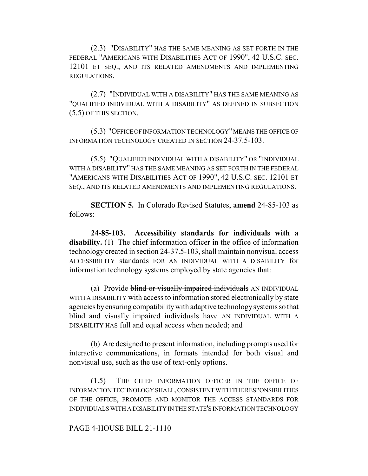(2.3) "DISABILITY" HAS THE SAME MEANING AS SET FORTH IN THE FEDERAL "AMERICANS WITH DISABILITIES ACT OF 1990", 42 U.S.C. SEC. 12101 ET SEQ., AND ITS RELATED AMENDMENTS AND IMPLEMENTING REGULATIONS.

(2.7) "INDIVIDUAL WITH A DISABILITY" HAS THE SAME MEANING AS "QUALIFIED INDIVIDUAL WITH A DISABILITY" AS DEFINED IN SUBSECTION (5.5) OF THIS SECTION.

(5.3) "OFFICE OF INFORMATION TECHNOLOGY" MEANS THE OFFICE OF INFORMATION TECHNOLOGY CREATED IN SECTION 24-37.5-103.

(5.5) "QUALIFIED INDIVIDUAL WITH A DISABILITY" OR "INDIVIDUAL WITH A DISABILITY" HAS THE SAME MEANING AS SET FORTH IN THE FEDERAL "AMERICANS WITH DISABILITIES ACT OF 1990", 42 U.S.C. SEC. 12101 ET SEQ., AND ITS RELATED AMENDMENTS AND IMPLEMENTING REGULATIONS.

**SECTION 5.** In Colorado Revised Statutes, **amend** 24-85-103 as follows:

**24-85-103. Accessibility standards for individuals with a disability.** (1) The chief information officer in the office of information technology created in section 24-37.5-103, shall maintain nonvisual access ACCESSIBILITY standards FOR AN INDIVIDUAL WITH A DISABILITY for information technology systems employed by state agencies that:

(a) Provide blind or visually impaired individuals AN INDIVIDUAL WITH A DISABILITY with access to information stored electronically by state agencies by ensuring compatibility with adaptive technology systems so that blind and visually impaired individuals have AN INDIVIDUAL WITH A DISABILITY HAS full and equal access when needed; and

(b) Are designed to present information, including prompts used for interactive communications, in formats intended for both visual and nonvisual use, such as the use of text-only options.

(1.5) THE CHIEF INFORMATION OFFICER IN THE OFFICE OF INFORMATION TECHNOLOGY SHALL, CONSISTENT WITH THE RESPONSIBILITIES OF THE OFFICE, PROMOTE AND MONITOR THE ACCESS STANDARDS FOR INDIVIDUALS WITH A DISABILITY IN THE STATE'S INFORMATION TECHNOLOGY

PAGE 4-HOUSE BILL 21-1110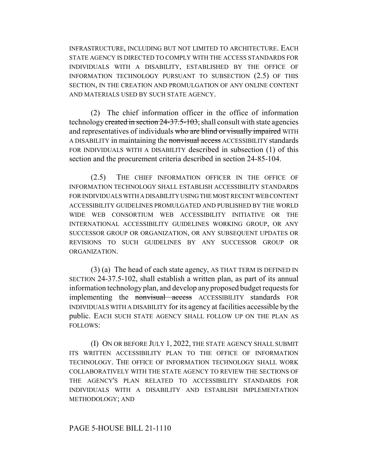INFRASTRUCTURE, INCLUDING BUT NOT LIMITED TO ARCHITECTURE. EACH STATE AGENCY IS DIRECTED TO COMPLY WITH THE ACCESS STANDARDS FOR INDIVIDUALS WITH A DISABILITY, ESTABLISHED BY THE OFFICE OF INFORMATION TECHNOLOGY PURSUANT TO SUBSECTION (2.5) OF THIS SECTION, IN THE CREATION AND PROMULGATION OF ANY ONLINE CONTENT AND MATERIALS USED BY SUCH STATE AGENCY.

(2) The chief information officer in the office of information technology created in section 24-37.5-103, shall consult with state agencies and representatives of individuals who are blind or visually impaired WITH A DISABILITY in maintaining the nonvisual access ACCESSIBILITY standards FOR INDIVIDUALS WITH A DISABILITY described in subsection (1) of this section and the procurement criteria described in section 24-85-104.

(2.5) THE CHIEF INFORMATION OFFICER IN THE OFFICE OF INFORMATION TECHNOLOGY SHALL ESTABLISH ACCESSIBILITY STANDARDS FOR INDIVIDUALS WITH A DISABILITY USING THE MOST RECENT WEB CONTENT ACCESSIBILITY GUIDELINES PROMULGATED AND PUBLISHED BY THE WORLD WIDE WEB CONSORTIUM WEB ACCESSIBILITY INITIATIVE OR THE INTERNATIONAL ACCESSIBILITY GUIDELINES WORKING GROUP, OR ANY SUCCESSOR GROUP OR ORGANIZATION, OR ANY SUBSEQUENT UPDATES OR REVISIONS TO SUCH GUIDELINES BY ANY SUCCESSOR GROUP OR ORGANIZATION.

(3) (a) The head of each state agency, AS THAT TERM IS DEFINED IN SECTION 24-37.5-102, shall establish a written plan, as part of its annual information technology plan, and develop any proposed budget requests for implementing the nonvisual access ACCESSIBILITY standards FOR INDIVIDUALS WITH A DISABILITY for its agency at facilities accessible by the public. EACH SUCH STATE AGENCY SHALL FOLLOW UP ON THE PLAN AS FOLLOWS:

(I) ON OR BEFORE JULY 1, 2022, THE STATE AGENCY SHALL SUBMIT ITS WRITTEN ACCESSIBILITY PLAN TO THE OFFICE OF INFORMATION TECHNOLOGY. THE OFFICE OF INFORMATION TECHNOLOGY SHALL WORK COLLABORATIVELY WITH THE STATE AGENCY TO REVIEW THE SECTIONS OF THE AGENCY'S PLAN RELATED TO ACCESSIBILITY STANDARDS FOR INDIVIDUALS WITH A DISABILITY AND ESTABLISH IMPLEMENTATION METHODOLOGY; AND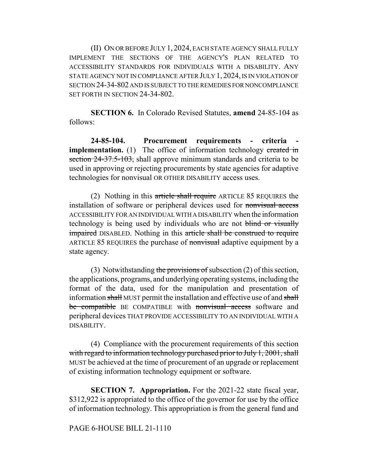(II) ON OR BEFORE JULY 1, 2024, EACH STATE AGENCY SHALL FULLY IMPLEMENT THE SECTIONS OF THE AGENCY'S PLAN RELATED TO ACCESSIBILITY STANDARDS FOR INDIVIDUALS WITH A DISABILITY. ANY STATE AGENCY NOT IN COMPLIANCE AFTER JULY 1, 2024, IS IN VIOLATION OF SECTION 24-34-802 AND IS SUBJECT TO THE REMEDIES FOR NONCOMPLIANCE SET FORTH IN SECTION 24-34-802.

**SECTION 6.** In Colorado Revised Statutes, **amend** 24-85-104 as follows:

**24-85-104. Procurement requirements - criteria implementation.** (1) The office of information technology created in section 24-37.5-103, shall approve minimum standards and criteria to be used in approving or rejecting procurements by state agencies for adaptive technologies for nonvisual OR OTHER DISABILITY access uses.

(2) Nothing in this article shall require ARTICLE 85 REQUIRES the installation of software or peripheral devices used for nonvisual access ACCESSIBILITY FOR AN INDIVIDUAL WITH A DISABILITY when the information technology is being used by individuals who are not blind or visually **impaired** DISABLED. Nothing in this article shall be construed to require ARTICLE 85 REQUIRES the purchase of nonvisual adaptive equipment by a state agency.

(3) Notwithstanding the provisions of subsection  $(2)$  of this section, the applications, programs, and underlying operating systems, including the format of the data, used for the manipulation and presentation of information shall MUST permit the installation and effective use of and shall be compatible BE COMPATIBLE with nonvisual access software and peripheral devices THAT PROVIDE ACCESSIBILITY TO AN INDIVIDUAL WITH A DISABILITY.

(4) Compliance with the procurement requirements of this section with regard to information technology purchased prior to July 1, 2001, shall MUST be achieved at the time of procurement of an upgrade or replacement of existing information technology equipment or software.

**SECTION 7. Appropriation.** For the 2021-22 state fiscal year, \$312,922 is appropriated to the office of the governor for use by the office of information technology. This appropriation is from the general fund and

## PAGE 6-HOUSE BILL 21-1110